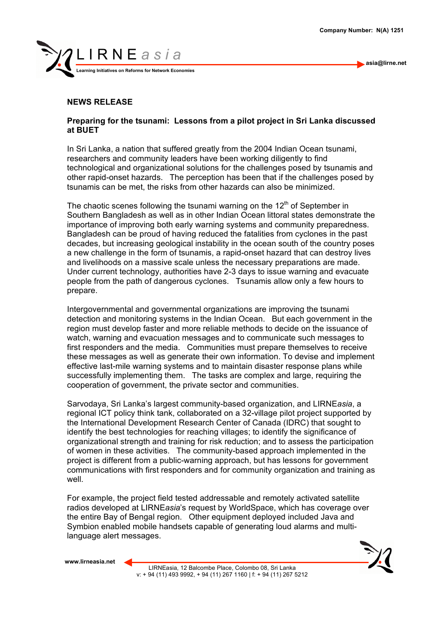**asia@lirne.net**



## **NEWS RELEASE**

## **Preparing for the tsunami: Lessons from a pilot project in Sri Lanka discussed at BUET**

In Sri Lanka, a nation that suffered greatly from the 2004 Indian Ocean tsunami, researchers and community leaders have been working diligently to find technological and organizational solutions for the challenges posed by tsunamis and other rapid-onset hazards. The perception has been that if the challenges posed by tsunamis can be met, the risks from other hazards can also be minimized.

The chaotic scenes following the tsunami warning on the  $12<sup>th</sup>$  of September in Southern Bangladesh as well as in other Indian Ocean littoral states demonstrate the importance of improving both early warning systems and community preparedness. Bangladesh can be proud of having reduced the fatalities from cyclones in the past decades, but increasing geological instability in the ocean south of the country poses a new challenge in the form of tsunamis, a rapid-onset hazard that can destroy lives and livelihoods on a massive scale unless the necessary preparations are made. Under current technology, authorities have 2-3 days to issue warning and evacuate people from the path of dangerous cyclones. Tsunamis allow only a few hours to prepare.

Intergovernmental and governmental organizations are improving the tsunami detection and monitoring systems in the Indian Ocean. But each government in the region must develop faster and more reliable methods to decide on the issuance of watch, warning and evacuation messages and to communicate such messages to first responders and the media. Communities must prepare themselves to receive these messages as well as generate their own information. To devise and implement effective last-mile warning systems and to maintain disaster response plans while successfully implementing them. The tasks are complex and large, requiring the cooperation of government, the private sector and communities.

Sarvodaya, Sri Lanka's largest community-based organization, and LIRNE*asia*, a regional ICT policy think tank, collaborated on a 32-village pilot project supported by the International Development Research Center of Canada (IDRC) that sought to identify the best technologies for reaching villages; to identify the significance of organizational strength and training for risk reduction; and to assess the participation of women in these activities. The community-based approach implemented in the project is different from a public-warning approach, but has lessons for government communications with first responders and for community organization and training as well

For example, the project field tested addressable and remotely activated satellite radios developed at LIRNE*asia*'s request by WorldSpace, which has coverage over the entire Bay of Bengal region. Other equipment deployed included Java and Symbion enabled mobile handsets capable of generating loud alarms and multilanguage alert messages.

**www.lirneasia.net**